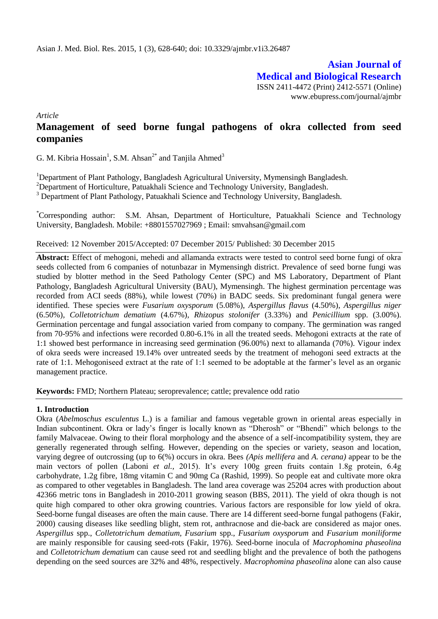**Asian Journal of Medical and Biological Research** ISSN 2411-4472 (Print) 2412-5571 (Online) www.ebupress.com/journal/ajmbr

*Article*

# **Management of seed borne fungal pathogens of okra collected from seed companies**

G. M. Kibria Hossain<sup>1</sup>, S.M. Ahsan<sup>2\*</sup> and Tanjila Ahmed<sup>3</sup>

<sup>1</sup>Department of Plant Pathology, Bangladesh Agricultural University, Mymensingh Bangladesh.

<sup>2</sup>Department of Horticulture, Patuakhali Science and Technology University, Bangladesh.

<sup>3</sup> Department of Plant Pathology, Patuakhali Science and Technology University, Bangladesh.

\*Corresponding author: S.M. Ahsan, Department of Horticulture, Patuakhali Science and Technology University, Bangladesh. Mobile: +8801557027969 ; Email: smvahsan@gmail.com

Received: 12 November 2015/Accepted: 07 December 2015/ Published: 30 December 2015

**Abstract:** Effect of mehogoni, mehedi and allamanda extracts were tested to control seed borne fungi of okra seeds collected from 6 companies of notunbazar in Mymensingh district. Prevalence of seed borne fungi was studied by blotter method in the Seed Pathology Center (SPC) and MS Laboratory, Department of Plant Pathology, Bangladesh Agricultural University (BAU), Mymensingh. The highest germination percentage was recorded from ACI seeds (88%), while lowest (70%) in BADC seeds. Six predominant fungal genera were identified. These species were *Fusarium oxysporum* (5.08%), *Aspergillus flavus* (4.50%)*, Aspergillus niger*  (6.50%)*, Colletotrichum dematium* (4.67%)*, Rhizopus stolonifer* (3.33%) and *Penicillium* spp. (3.00%). Germination percentage and fungal association varied from company to company. The germination was ranged from 70-95% and infections were recorded 0.80-6.1% in all the treated seeds. Mehogoni extracts at the rate of 1:1 showed best performance in increasing seed germination (96.00%) next to allamanda (70%). Vigour index of okra seeds were increased 19.14% over untreated seeds by the treatment of mehogoni seed extracts at the rate of 1:1. Mehogoniseed extract at the rate of 1:1 seemed to be adoptable at the farmer"s level as an organic management practice.

**Keywords:** FMD; Northern Plateau; seroprevalence; cattle; prevalence odd ratio

### **1. Introduction**

Okra (*Abelmoschus esculentus* L.) is a familiar and famous vegetable grown in oriental areas especially in Indian subcontinent. Okra or lady"s finger is locally known as "Dherosh" or "Bhendi" which belongs to the family Malvaceae. Owing to their floral morphology and the absence of a self-incompatibility system, they are generally regenerated through selfing. However, depending on the species or variety, season and location, varying degree of outcrossing (up to 6(%) occurs in okra. Bees *(Apis mellifera* and *A. cerana)* appear to be the main vectors of pollen (Laboni et al., 2015). It's every 100g green fruits contain 1.8g protein, 6.4g carbohydrate, 1.2g fibre, 18mg vitamin C and 90mg Ca (Rashid, 1999). So people eat and cultivate more okra as compared to other vegetables in Bangladesh. The land area coverage was 25204 acres with production about 42366 metric tons in Bangladesh in 2010-2011 growing season (BBS, 2011). The yield of okra though is not quite high compared to other okra growing countries. Various factors are responsible for low yield of okra. Seed-borne fungal diseases are often the main cause. There are 14 different seed-borne fungal pathogens (Fakir, 2000) causing diseases like seedling blight, stem rot, anthracnose and die-back are considered as major ones. *Aspergillus* spp., *Colletotrichum dematium, Fusarium* spp., *Fusarium oxysporum* and *Fusarium moniliforme* are mainly responsible for causing seed-rots (Fakir, 1976). Seed-borne inocula of *Macrophomina phaseolina* and *Colletotrichum dematium* can cause seed rot and seedling blight and the prevalence of both the pathogens depending on the seed sources are 32% and 48%, respectively. *Macrophomina phaseolina* alone can also cause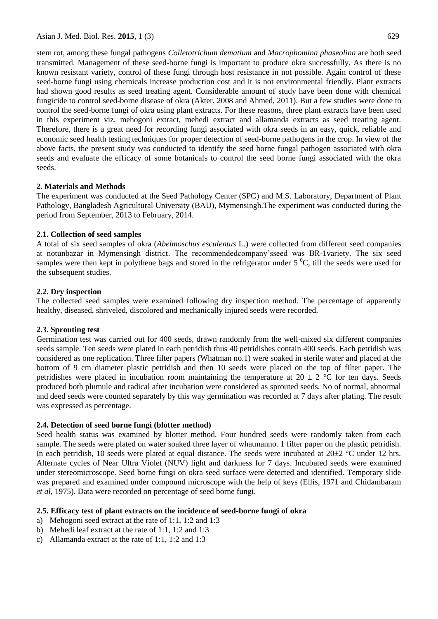stem rot, among these fungal pathogens *Colletotrichum dematium* and *Macrophomina phaseolina* are both seed transmitted. Management of these seed**-**borne fungi is important to produce okra successfully. As there is no known resistant variety, control of these fungi through host resistance in not possible. Again control of these seed-borne fungi using chemicals increase production cost and it is not environmental friendly. Plant extracts had shown good results as seed treating agent. Considerable amount of study have been done with chemical fungicide to control seed-borne disease of okra (Akter, 2008 and Ahmed, 2011). But a few studies were done to control the seed-borne fungi of okra using plant extracts. For these reasons, three plant extracts have been used in this experiment viz. mehogoni extract, mehedi extract and allamanda extracts as seed treating agent. Therefore, there is a great need for recording fungi associated with okra seeds in an easy, quick, reliable and economic seed health testing techniques for proper detection of seed-borne pathogens in the crop. In view of the above facts, the present study was conducted to identify the seed borne fungal pathogen associated with okra seeds and evaluate the efficacy of some botanicals to control the seed borne fungi associated with the okra seeds.

### **2. Materials and Methods**

The experiment was conducted at the Seed Pathology Center (SPC) and M.S. Laboratory, Department of Plant Pathology, Bangladesh Agricultural University (BAU), Mymensingh.The experiment was conducted during the period from September, 2013 to February, 2014.

### **2.1. Collection of seed samples**

A total of six seed samples of okra (*Abelmoschus esculentus* L.) were collected from different seed companies at notunbazar in Mymensingh district. The recommendedcompany"sseed was BR-1variety. The six seed samples were then kept in polythene bags and stored in the refrigerator under  $5\degree C$ , till the seeds were used for the subsequent studies.

# **2.2. Dry inspection**

The collected seed samples were examined following dry inspection method. The percentage of apparently healthy, diseased, shriveled, discolored and mechanically injured seeds were recorded.

# **2.3. Sprouting test**

Germination test was carried out for 400 seeds, drawn randomly from the well-mixed six different companies seeds sample. Ten seeds were plated in each petridish thus 40 petridishes contain 400 seeds. Each petridish was considered as one replication. Three filter papers (Whatman no.1) were soaked in sterile water and placed at the bottom of 9 cm diameter plastic petridish and then 10 seeds were placed on the top of filter paper. The petridishes were placed in incubation room maintaining the temperature at  $20 \pm 2$  °C for ten days. Seeds produced both plumule and radical after incubation were considered as sprouted seeds. No of normal, abnormal and deed seeds were counted separately by this way germination was recorded at 7 days after plating. The result was expressed as percentage.

# **2.4. Detection of seed borne fungi (blotter method)**

Seed health status was examined by blotter method. Four hundred seeds were randomly taken from each sample. The seeds were plated on water soaked three layer of whatmanno. 1 filter paper on the plastic petridish. In each petridish, 10 seeds were plated at equal distance. The seeds were incubated at  $20\pm2$  °C under 12 hrs. Alternate cycles of Near Ultra Violet (NUV) light and darkness for 7 days. Incubated seeds were examined under stereomicroscope. Seed borne fungi on okra seed surface were detected and identified. Temporary slide was prepared and examined under compound microscope with the help of keys (Ellis, 1971 and Chidambaram *et al,* 1975). Data were recorded on percentage of seed borne fungi.

# **2.5. Efficacy test of plant extracts on the incidence of seed-borne fungi of okra**

- a) Mehogoni seed extract at the rate of 1:1, 1:2 and 1:3
- b) Mehedi leaf extract at the rate of 1:1, 1:2 and 1:3
- c) Allamanda extract at the rate of 1:1, 1:2 and 1:3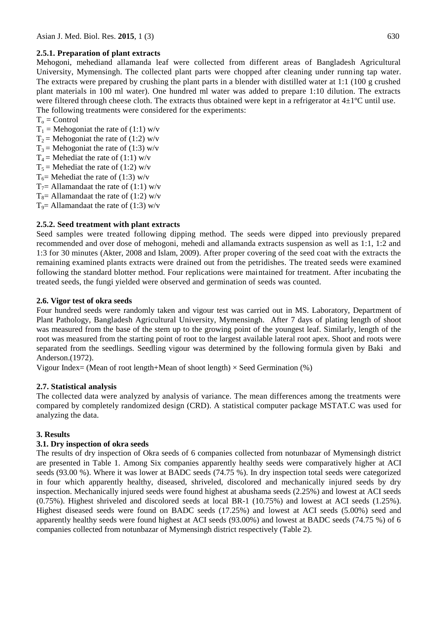## **2.5.1. Preparation of plant extracts**

Mehogoni, mehediand allamanda leaf were collected from different areas of Bangladesh Agricultural University, Mymensingh. The collected plant parts were chopped after cleaning under running tap water. The extracts were prepared by crushing the plant parts in a blender with distilled water at 1:1 (100 g crushed plant materials in 100 ml water). One hundred ml water was added to prepare 1:10 dilution. The extracts were filtered through cheese cloth. The extracts thus obtained were kept in a refrigerator at  $4\pm1$ <sup>o</sup>C until use. The following treatments were considered for the experiments:

- $T_0$  = Control
- $T_1$  = Mehogoniat the rate of (1:1) w/v
- $T_2$  = Mehogoniat the rate of (1:2) w/v
- $T_3$  = Mehogoniat the rate of (1:3) w/v
- $T_4$  = Mehediat the rate of (1:1) w/v
- $T_5$  = Mehediat the rate of (1:2) w/v
- $T_6$ = Mehediat the rate of (1:3) w/v
- $T_7$ = Allamandaat the rate of (1:1) w/v
- $T_8$ = Allamandaat the rate of (1:2) w/v
- $T_9$  = Allamandaat the rate of (1:3) w/v

### **2.5.2. Seed treatment with plant extracts**

Seed samples were treated following dipping method. The seeds were dipped into previously prepared recommended and over dose of mehogoni, mehedi and allamanda extracts suspension as well as 1:1, 1:2 and 1:3 for 30 minutes (Akter, 2008 and Islam, 2009). After proper covering of the seed coat with the extracts the remaining examined plants extracts were drained out from the petridishes. The treated seeds were examined following the standard blotter method. Four replications were maintained for treatment. After incubating the treated seeds, the fungi yielded were observed and germination of seeds was counted.

### **2.6. Vigor test of okra seeds**

Four hundred seeds were randomly taken and vigour test was carried out in MS. Laboratory, Department of Plant Pathology, Bangladesh Agricultural University, Mymensingh. After 7 days of plating length of shoot was measured from the base of the stem up to the growing point of the youngest leaf. Similarly, length of the root was measured from the starting point of root to the largest available lateral root apex. Shoot and roots were separated from the seedlings. Seedling vigour was determined by the following formula given by Baki and Anderson.(1972).

Vigour Index= (Mean of root length+Mean of shoot length)  $\times$  Seed Germination (%)

### **2.7. Statistical analysis**

The collected data were analyzed by analysis of variance. The mean differences among the treatments were compared by completely randomized design (CRD). A statistical computer package MSTAT.C was used for analyzing the data.

### **3. Results**

### **3.1. Dry inspection of okra seeds**

The results of dry inspection of Okra seeds of 6 companies collected from notunbazar of Mymensingh district are presented in Table 1. Among Six companies apparently healthy seeds were comparatively higher at ACI seeds (93.00 %). Where it was lower at BADC seeds (74.75 %). In dry inspection total seeds were categorized in four which apparently healthy, diseased, shriveled, discolored and mechanically injured seeds by dry inspection. Mechanically injured seeds were found highest at abushama seeds (2.25%) and lowest at ACI seeds (0.75%). Highest shriveled and discolored seeds at local BR-1 (10.75%) and lowest at ACI seeds (1.25%). Highest diseased seeds were found on BADC seeds (17.25%) and lowest at ACI seeds (5.00%) seed and apparently healthy seeds were found highest at ACI seeds (93.00%) and lowest at BADC seeds (74.75 %) of 6 companies collected from notunbazar of Mymensingh district respectively (Table 2).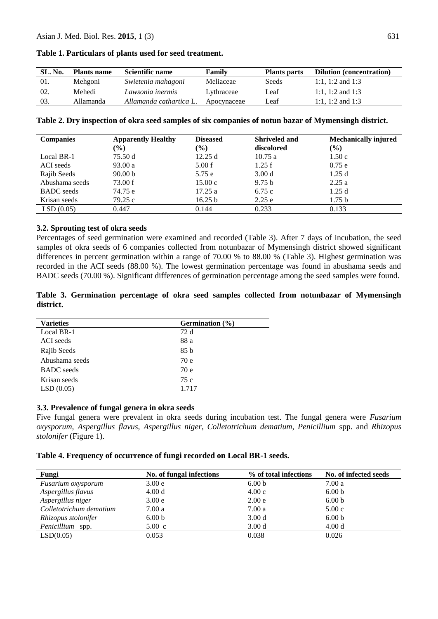| SL. No. | <b>Plants name</b> | Scientific name         | Family      | <b>Plants parts</b> | <b>Dilution (concentration)</b> |
|---------|--------------------|-------------------------|-------------|---------------------|---------------------------------|
| -01.    | Mehgoni            | Swietenia mahagoni      | Meliaceae   | Seeds               | 1:1, 1:2 and 1:3                |
| 02.     | Mehedi             | Lawsonia inermis        | Lythraceae  | Leaf                | 1:1, 1:2 and 1:3                |
| 03.     | Allamanda          | Allamanda cathartica L. | Apocynaceae | Leaf                | 1:1, 1:2 and 1:3                |

**Table 1. Particulars of plants used for seed treatment.**

| Table 2. Dry inspection of okra seed samples of six companies of notun bazar of Mymensingh district. |  |  |  |
|------------------------------------------------------------------------------------------------------|--|--|--|
|------------------------------------------------------------------------------------------------------|--|--|--|

| <b>Companies</b>  | <b>Apparently Healthy</b> | <b>Diseased</b>              | <b>Shriveled and</b> | <b>Mechanically injured</b> |
|-------------------|---------------------------|------------------------------|----------------------|-----------------------------|
|                   | $\frac{6}{6}$             | $\left( \frac{0}{0} \right)$ | discolored           | $(\%)$                      |
| Local BR-1        | 75.50 d                   | 12.25 d                      | 10.75a               | 1.50c                       |
| ACI seeds         | 93.00a                    | 5.00 f                       | 1.25 f               | 0.75e                       |
| Rajib Seeds       | 90.00 <sub>b</sub>        | 5.75 e                       | 3.00 <sub>d</sub>    | 1.25d                       |
| Abushama seeds    | 73.00 f                   | 15.00c                       | 9.75 <sub>b</sub>    | 2.25a                       |
| <b>BADC</b> seeds | 74.75 e                   | 17.25a                       | 6.75c                | 1.25d                       |
| Krisan seeds      | 79.25 c                   | 16.25 b                      | 2.25e                | 1.75 <sub>b</sub>           |
| LSD(0.05)         | 0.447                     | 0.144                        | 0.233                | 0.133                       |

#### **3.2. Sprouting test of okra seeds**

Percentages of seed germination were examined and recorded (Table 3). After 7 days of incubation, the seed samples of okra seeds of 6 companies collected from notunbazar of Mymensingh district showed significant differences in percent germination within a range of 70.00 % to 88.00 % (Table 3). Highest germination was recorded in the ACI seeds (88.00 %). The lowest germination percentage was found in abushama seeds and BADC seeds (70.00 %). Significant differences of germination percentage among the seed samples were found.

|           |  |  |  |  |  | Table 3. Germination percentage of okra seed samples collected from notunbazar of Mymensingh |
|-----------|--|--|--|--|--|----------------------------------------------------------------------------------------------|
| district. |  |  |  |  |  |                                                                                              |

| <b>Varieties</b>  | Germination $(\% )$ |
|-------------------|---------------------|
| Local BR-1        | 72 d                |
| ACI seeds         | 88 a                |
| Rajib Seeds       | 85 b                |
| Abushama seeds    | 70 e                |
| <b>BADC</b> seeds | 70 e                |
| Krisan seeds      | 75 c                |
| LSD(0.05)         | 1.717               |

#### **3.3. Prevalence of fungal genera in okra seeds**

Five fungal genera were prevalent in okra seeds during incubation test. The fungal genera were *Fusarium oxysporum, Aspergillus flavus, Aspergillus niger, Colletotrichum dematium, Penicillium* spp. and *Rhizopus stolonifer* (Figure 1).

#### **Table 4. Frequency of occurrence of fungi recorded on Local BR-1 seeds.**

| Fungi                     | No. of fungal infections | % of total infections | No. of infected seeds |
|---------------------------|--------------------------|-----------------------|-----------------------|
| <i>Fusarium oxysporum</i> | 3.00 e                   | 6.00 <sub>b</sub>     | 7.00a                 |
| Aspergillus flavus        | 4.00 d                   | 4.00c                 | 6.00 <sub>b</sub>     |
| Aspergillus niger         | 3.00 <sub>e</sub>        | 2.00 e                | 6.00 <sub>b</sub>     |
| Colletotrichum dematium   | 7.00 a                   | 7.00a                 | 5.00c                 |
| Rhizopus stolonifer       | 6.00 <sub>b</sub>        | 3.00 <sub>d</sub>     | 6.00 <sub>b</sub>     |
| Penicillium<br>spp.       | $5.00 \text{ c}$         | 3.00 <sub>d</sub>     | 4.00 d                |
| LSD(0.05)                 | 0.053                    | 0.038                 | 0.026                 |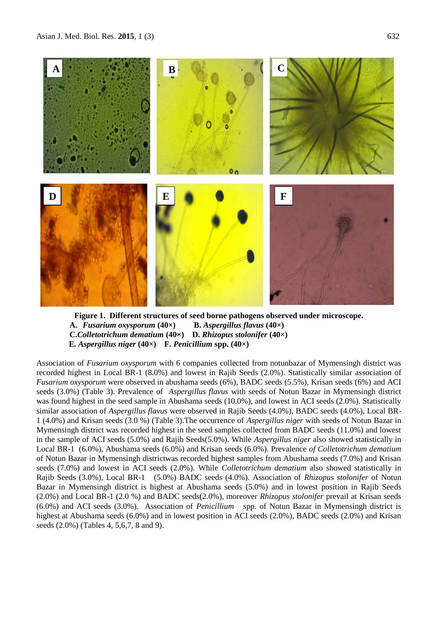

**Figure 1. Different structures of seed borne pathogens observed under microscope. A.** *Fusarium oxysporum* **(40×) B.** *Aspergillus flavus* **(40×) C.***Colletotrichum dematium* **(40×) D.** *Rhizopus stolonifer* **(40×) E***. Aspergillus niger* **(40×) F.** *Penicillium* **spp. (40×)** 

Association of *Fusarium oxysporum* with 6 companies collected from notunbazar of Mymensingh district was recorded highest in Local BR-1 (8.0%) and lowest in Rajib Seeds (2.0%). Statistically similar association of *Fusarium oxysporum* were observed in abushama seeds (6%), BADC seeds (5.5%), Krisan seeds (6%) and ACI seeds (3.0%) (Table 3). Prevalence of *Aspergillus flavus* with seeds of Notun Bazar in Mymensingh district was found highest in the seed sample in Abushama seeds (10.0%), and lowest in ACI seeds (2.0%). Statistically similar association of *Aspergillus flavus* were observed in Rajib Seeds (4.0%), BADC seeds (4.0%), Local BR-1 (4.0%) and Krisan seeds (3.0 %) (Table 3).The occurrence of *Aspergillus niger* with seeds of Notun Bazar in Mymensingh district was recorded highest in the seed samples collected from BADC seeds (11.0%) and lowest in the sample of ACI seeds (5.0%) and Rajib Seeds(5.0%). While *Aspergillus niger* also showed statistically in Local BR-1 (6.0%), Abushama seeds (6.0%) and Krisan seeds (6.0%). Prevalence *of Colletotrichum dematium*  of Notun Bazar in Mymensingh districtwas recorded highest samples from Abushama seeds (7.0%) and Krisan seeds (7.0%) and lowest in ACI seeds (2.0%). While *Colletotrichum dematium* also showed statistically in Rajib Seeds (3.0%), Local BR-1 (5.0%) BADC seeds (4.0%). Association of *Rhizopus stolonifer* of Notun Bazar in Mymensingh district is highest at Abushama seeds (5.0%) and in lowest position in Rajib Seeds (2.0%) and Local BR-1 (2.0 %) and BADC seeds(2.0%), moreover *Rhizopus stolonifer* prevail at Krisan seeds (6.0%) and ACI seeds (3.0%). Association of *Penicillium* spp. of Notun Bazar in Mymensingh district is highest at Abushama seeds (6.0%) and in lowest position in ACI seeds (2.0%), BADC seeds (2.0%) and Krisan seeds (2.0%) (Tables 4, 5,6,7, 8 and 9).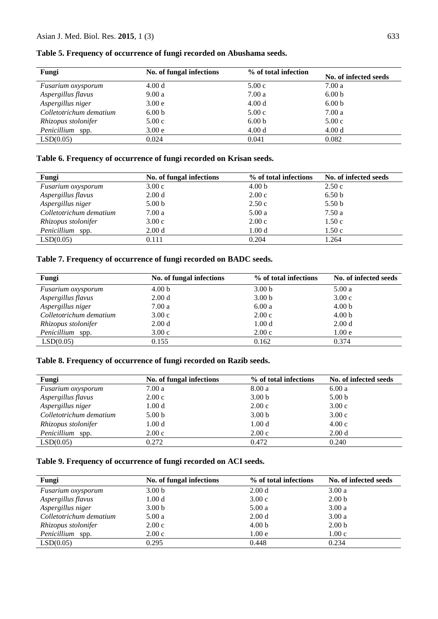| Fungi                     | No. of fungal infections | % of total infection | No. of infected seeds |
|---------------------------|--------------------------|----------------------|-----------------------|
| <i>Fusarium oxysporum</i> | 4.00 d                   | 5.00c                | 7.00 a                |
| Aspergillus flavus        | 9.00a                    | 7.00a                | 6.00 <sub>b</sub>     |
| Aspergillus niger         | 3.00 <sub>e</sub>        | 4.00d                | 6.00 <sub>b</sub>     |
| Colletotrichum dematium   | 6.00 <sub>b</sub>        | 5.00c                | 7.00a                 |
| Rhizopus stolonifer       | 5.00c                    | 6.00 <sub>b</sub>    | 5.00c                 |
| Penicillium<br>spp.       | 3.00 <sub>e</sub>        | 4.00 d               | 4.00 d                |
| LSD(0.05)                 | 0.024                    | 0.041                | 0.082                 |

**Table 5. Frequency of occurrence of fungi recorded on Abushama seeds.**

### **Table 6. Frequency of occurrence of fungi recorded on Krisan seeds.**

| Fungi                   | No. of fungal infections | % of total infections | No. of infected seeds |
|-------------------------|--------------------------|-----------------------|-----------------------|
| Fusarium oxysporum      | 3.00c                    | 4.00 <sub>b</sub>     | 2.50c                 |
| Aspergillus flavus      | 2.00 <sub>d</sub>        | 2.00c                 | 6.50 <sub>b</sub>     |
| Aspergillus niger       | 5.00 <sub>b</sub>        | 2.50c                 | 5.50 <sub>b</sub>     |
| Colletotrichum dematium | 7.00a                    | 5.00a                 | 7.50 a                |
| Rhizopus stolonifer     | 3.00c                    | 2.00c                 | 1.50c                 |
| Penicillium<br>spp.     | 2.00 <sub>d</sub>        | 1.00 <sub>d</sub>     | 1.50c                 |
| LSD(0.05)               | 0.111                    | 0.204                 | 1.264                 |

### **Table 7. Frequency of occurrence of fungi recorded on BADC seeds.**

| No. of fungal infections | % of total infections | No. of infected seeds |
|--------------------------|-----------------------|-----------------------|
| 4.00 <sub>b</sub>        | 3.00 <sub>b</sub>     | 5.00a                 |
| 2.00 <sub>d</sub>        | 3.00 <sub>b</sub>     | 3.00c                 |
| 7.00 a                   | 6.00a                 | 4.00 <sub>b</sub>     |
| 3.00c                    | 2.00c                 | 4.00 <sub>b</sub>     |
| 2.00 <sub>d</sub>        | 1.00 <sub>d</sub>     | 2.00 <sub>d</sub>     |
| 3.00c                    | 2.00c                 | 1.00 <sub>e</sub>     |
| 0.155                    | 0.162                 | 0.374                 |
|                          |                       |                       |

### **Table 8. Frequency of occurrence of fungi recorded on Razib seeds.**

| Fungi                   | No. of fungal infections | % of total infections | No. of infected seeds |
|-------------------------|--------------------------|-----------------------|-----------------------|
| Fusarium oxysporum      | 7.00 a                   | 8.00a                 | 6.00a                 |
| Aspergillus flavus      | 2.00c                    | 3.00 <sub>b</sub>     | 5.00 <sub>b</sub>     |
| Aspergillus niger       | 1.00 <sub>d</sub>        | 2.00c                 | 3.00c                 |
| Colletotrichum dematium | 5.00 <sub>b</sub>        | 3.00 <sub>b</sub>     | 3.00c                 |
| Rhizopus stolonifer     | 1.00 <sub>d</sub>        | 1.00 <sub>d</sub>     | 4.00c                 |
| Penicillium<br>spp.     | 2.00c                    | 2.00c                 | 2.00 <sub>d</sub>     |
| LSD(0.05)               | 0.272                    | 0.472                 | 0.240                 |

### **Table 9. Frequency of occurrence of fungi recorded on ACI seeds.**

| Fungi                     | No. of fungal infections | % of total infections | No. of infected seeds |
|---------------------------|--------------------------|-----------------------|-----------------------|
| <i>Fusarium oxysporum</i> | 3.00 <sub>b</sub>        | 2.00 d                | 3.00a                 |
| Aspergillus flavus        | 1.00 <sub>d</sub>        | 3.00c                 | 2.00 <sub>b</sub>     |
| Aspergillus niger         | 3.00 <sub>b</sub>        | 5.00a                 | 3.00a                 |
| Colletotrichum dematium   | 5.00 a                   | 2.00 d                | 3.00a                 |
| Rhizopus stolonifer       | 2.00c                    | 4.00 <sub>b</sub>     | 2.00 <sub>b</sub>     |
| Penicillium<br>spp.       | 2.00c                    | 1.00e                 | 1.00c                 |
| LSD(0.05)                 | 0.295                    | 0.448                 | 0.234                 |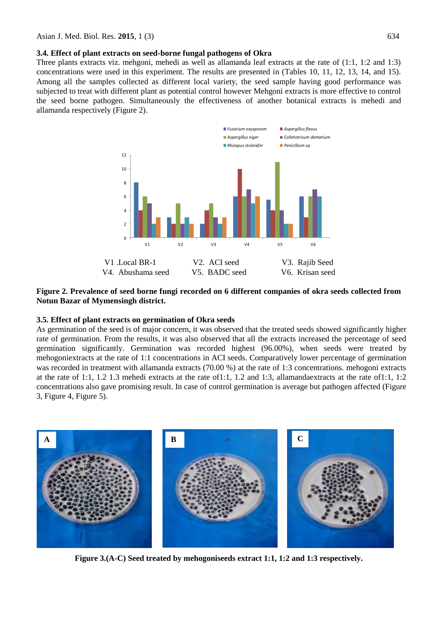**3.4. Effect of plant extracts on seed-borne fungal pathogens of Okra** 

Three plants extracts viz. mehgoni, mehedi as well as allamanda leaf extracts at the rate of (1:1, 1:2 and 1:3) concentrations were used in this experiment. The results are presented in (Tables 10, 11, 12, 13, 14, and 15). Among all the samples collected as different local variety, the seed sample having good performance was subjected to treat with different plant as potential control however Mehgoni extracts is more effective to control the seed borne pathogen. Simultaneously the effectiveness of another botanical extracts is mehedi and allamanda respectively (Figure 2).



**Figure 2. Prevalence of seed borne fungi recorded on 6 different companies of okra seeds collected from Notun Bazar of Mymensingh district.**

#### **3.5. Effect of plant extracts on germination of Okra seeds**

As germination of the seed is of major concern, it was observed that the treated seeds showed significantly higher rate of germination. From the results, it was also observed that all the extracts increased the percentage of seed germination significantly. Germination was recorded highest (96.00%), when seeds were treated by mehogoniextracts at the rate of 1:1 concentrations in ACI seeds. Comparatively lower percentage of germination was recorded in treatment with allamanda extracts (70.00 %) at the rate of 1:3 concentrations. mehogoni extracts at the rate of 1:1, 1.2 1.3 mehedi extracts at the rate of1:1, 1.2 and 1:3, allamandaextracts at the rate of1:1, 1:2 concentrations also gave promising result. In case of control germination is average but pathogen affected (Figure 3, Figure 4, Figure 5).



**Figure 3.(A-C) Seed treated by mehogoniseeds extract 1:1, 1:2 and 1:3 respectively.**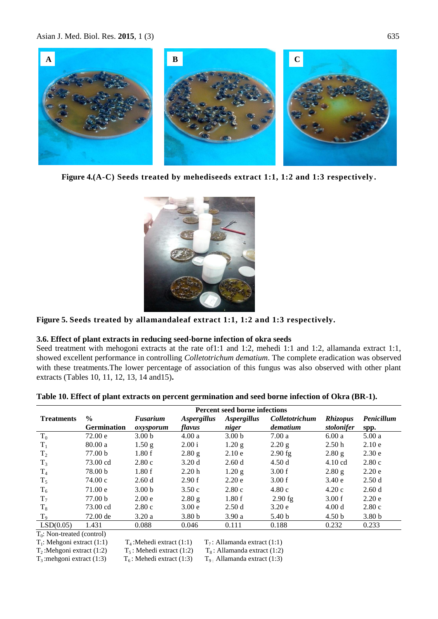Asian J. Med. Biol. Res. **2015**, 1 (3) 635



**Figure 4.(A-C) Seeds treated by mehediseeds extract 1:1, 1:2 and 1:3 respectively .**



**Figure 5. Seeds treated by allamandaleaf extract 1:1, 1:2 and 1:3 respectively.**

#### **3.6. Effect of plant extracts in reducing seed-borne infection of okra seeds**

Seed treatment with mehogoni extracts at the rate of1:1 and 1:2, mehedi 1:1 and 1:2, allamanda extract 1:1, showed excellent performance in controlling *Colletotrichum dematium*. The complete eradication was observed with these treatments.The lower percentage of association of this fungus was also observed with other plant extracts (Tables 10, 11, 12, 13, 14 and15)**.**

|                   | <b>Percent seed borne infections</b> |                   |                    |                    |                |                   |                   |
|-------------------|--------------------------------------|-------------------|--------------------|--------------------|----------------|-------------------|-------------------|
| <b>Treatments</b> | $\frac{0}{0}$                        | Fusarium          | <b>Aspergillus</b> | <b>Aspergillus</b> | Colletotrichum | <b>Rhizopus</b>   | Penicillum        |
|                   | <b>Germination</b>                   | oxysporum         | flavus             | niger              | dematium       | stolonifer        | spp.              |
| $T_0$             | 72.00 e                              | 3.00 <sub>b</sub> | 4.00a              | 3.00 <sub>b</sub>  | 7.00a          | 6.00a             | 5.00a             |
| $T_1$             | 80.00a                               | 1.50 g            | 2.00 i             | $1.20$ g           | 2.20 g         | 2.50h             | 2.10e             |
| T <sub>2</sub>    | 77.00 b                              | 1.80f             | 2.80 g             | 2.10e              | $2.90$ fg      | 2.80 g            | 2.30e             |
| $T_3$             | 73.00 cd                             | 2.80c             | 3.20d              | 2.60d              | 4.50d          | $4.10 \text{ cd}$ | 2.80c             |
| $T_4$             | 78.00 b                              | 1.80f             | 2.20h              | 1.20 g             | 3.00 f         | 2.80 g            | 2.20e             |
| $T_5$             | 74.00c                               | 2.60d             | 2.90 f             | 2.20e              | 3.00 f         | 3.40e             | 2.50d             |
| $T_6$             | 71.00 e                              | 3.00 <sub>b</sub> | 3.50c              | 2.80c              | 4.80c          | 4.20c             | 2.60d             |
| $T_7$             | 77.00 b                              | 2.00 <sub>e</sub> | 2.80 g             | 1.80f              | $2.90$ fg      | 3.00 f            | 2.20e             |
| $T_8$             | 73.00 cd                             | 2.80c             | 3.00 <sub>e</sub>  | 2.50d              | 3.20e          | 4.00 d            | 2.80c             |
| $T_{9}$           | 72.00 de                             | 3.20a             | 3.80 <sub>b</sub>  | 3.90a              | 5.40 b         | 4.50 <sub>b</sub> | 3.80 <sub>b</sub> |
| LSD(0.05)         | 1.431                                | 0.088             | 0.046              | 0.111              | 0.188          | 0.232             | 0.233             |

 $T_0$ : Non-treated (control)

 $T_1$ : Mehgoni extract (1:1)

 $T_4$ : Mehedi extract (1:1)  $T_7$ : Allamanda extract (1:1)

 $T_2$ :Mehgoni extract (1:2)  $T_5$ : Mehedi extract (1:2)  $T_8$ : Allamanda extract (1:2)

 $T_3$ :mehgoni extract (1:3)  $T_6$ : Mehedi extract (1:3)  $T_9$ : Allamanda extract (1:3)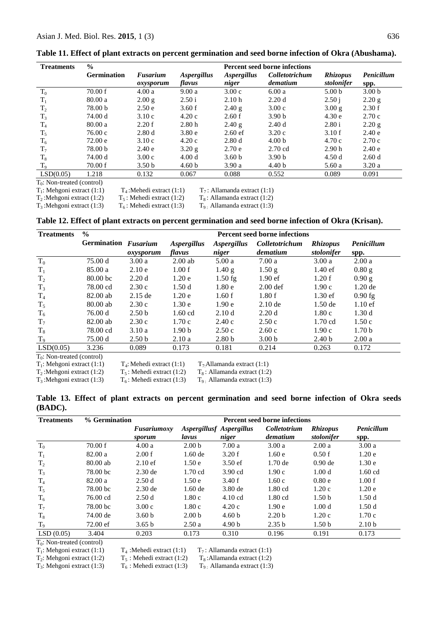| <b>Treatments</b>                 | $\frac{0}{0}$<br><b>Percent seed borne infections</b> |                   |                    |                    |                   |                   |                   |
|-----------------------------------|-------------------------------------------------------|-------------------|--------------------|--------------------|-------------------|-------------------|-------------------|
|                                   | <b>Germination</b>                                    | Fusarium          | <i>Aspergillus</i> | <b>Aspergillus</b> | Colletotrichum    | <i>Rhizopus</i>   | Penicillum        |
|                                   |                                                       | oxysporum         | flavus             | niger              | dematium          | stolonifer        | spp.              |
| $T_0$                             | 70.00 f                                               | 4.00a             | 9.00a              | 3.00c              | 6.00a             | 5.00 <sub>b</sub> | 3.00 <sub>b</sub> |
| $T_1$                             | 80.00a                                                | $2.00$ g          | 2.50 i             | 2.10h              | 2.20d             | 2.50 i            | 2.20 g            |
| $T_2$                             | 78.00 b                                               | 2.50 e            | 3.60 f             | 2.40 g             | 3.00c             | 3.00 g            | 2.30 f            |
| $T_3$                             | 74.00 d                                               | 3.10c             | 4.20c              | 2.60 f             | 3.90 <sub>b</sub> | 4.30e             | 2.70c             |
| $T_4$                             | 80.00a                                                | 2.20 f            | 2.80h              | 2.40 g             | 2.40d             | 2.80 i            | 2.20 g            |
| $T_5$                             | 76.00c                                                | 2.80d             | 3.80e              | $2.60$ ef          | 3.20c             | 3.10f             | 2.40 e            |
| $T_6$                             | 72.00 e                                               | 3.10c             | 4.20c              | 2.80d              | 4.00 <sub>b</sub> | 4.70c             | 2.70c             |
| $T_7$                             | 78.00 b                                               | 2.40e             | 3.20 g             | 2.70e              | $2.70$ cd         | 2.90 <sub>h</sub> | 2.40e             |
| $T_8$                             | 74.00 d                                               | 3.00c             | 4.00d              | 3.60 <sub>b</sub>  | 3.90 <sub>b</sub> | 4.50d             | 2.60d             |
| $T_{9}$                           | 70.00 f                                               | 3.50 <sub>b</sub> | 4.60 <sub>b</sub>  | 3.90a              | 4.40 <sub>b</sub> | 5.60a             | 3.20a             |
| LSD(0.05)                         | 1.218                                                 | 0.132             | 0.067              | 0.088              | 0.552             | 0.089             | 0.091             |
| $T_{\circ}$ Non-treated (control) |                                                       |                   |                    |                    |                   |                   |                   |

**Table 11. Effect of plant extracts on percent germination and seed borne infection of Okra (Abushama).** 

 $T_0$ : Non-treated (control)

 $T_1$ : Mehgoni extract (1:1)<br> $T_2$ : Mehgoni extract (1:2)

 $T_4$ : Mehedi extract (1:1)  $T_7$ : Allamanda extract (1:1)<br>  $T_8$ : Mehedi extract (1:2)  $T_8$ : Allamanda extract (1:2)  $T_8$ : Allamanda extract (1:2)

 $T_3$ :Mehgoni extract (1:3)  $T_6$ : Mehedi extract (1:3)  $T_9$ . Allamanda extract (1:3)

**Table 12. Effect of plant extracts on percent germination and seed borne infection of Okra (Krisan).**

| <b>Treatments</b>             | $\%$                 | <b>Percent seed borne infections</b> |                           |                    |                       |                   |                   |  |
|-------------------------------|----------------------|--------------------------------------|---------------------------|--------------------|-----------------------|-------------------|-------------------|--|
|                               | Germination Fusarium |                                      | <i><b>Aspergillus</b></i> | <b>Aspergillus</b> | <i>Colletotrichum</i> | <b>Rhizopus</b>   | Penicillum        |  |
|                               |                      | oxysporum                            | flavus                    | niger              | dematium              | stolonifer        | spp.              |  |
| $T_0$                         | 75.00 d              | 3.00a                                | $2.00$ ab                 | 5.00a              | 7.00a                 | 3.00a             | 2.00a             |  |
| $T_1$                         | 85.00a               | 2.10e                                | 1.00 f                    | 1.40 g             | 1.50 <sub>g</sub>     | $1.40 \text{ ef}$ | $0.80$ g          |  |
| T <sub>2</sub>                | 80.00 <sub>bc</sub>  | 2.20d                                | 1.20e                     | $1.50$ fg          | $1.90 \text{ ef}$     | 1.20 f            | 0.90 g            |  |
| $T_3$                         | 78.00 cd             | 2.30c                                | 1.50d                     | 1.80e              | $2.00$ def            | 1.90c             | $1.20$ de         |  |
| T <sub>4</sub>                | 82.00 ab             | $2.15$ de                            | 1.20e                     | 1.60 f             | 1.80f                 | $1.30$ ef         | $0.90$ fg         |  |
| $T_5$                         | $80.00$ ab           | 2.30c                                | 1.30e                     | 1.90e              | $2.10$ de             | $1.50$ de         | $1.10$ ef         |  |
| $\rm T_6$                     | 76.00 d              | 2.50 <sub>b</sub>                    | $1.60$ cd                 | 2.10d              | 2.20d                 | 1.80c             | 1.30d             |  |
| $T_7$                         | 82.00 ab             | 2.30c                                | 1.70c                     | 2.40c              | 2.50c                 | $1.70$ cd         | 1.50c             |  |
| $T_8$                         | 78.00 cd             | 3.10a                                | 1.90 <sub>b</sub>         | 2.50c              | 2.60c                 | 1.90c             | 1.70 <sub>b</sub> |  |
| $T_9$                         | 75.00 d              | 2.50 <sub>b</sub>                    | 2.10a                     | 2.80 <sub>b</sub>  | 3.00 <sub>b</sub>     | 2.40 <sub>b</sub> | 2.00a             |  |
| LSD(0.05)                     | 3.236                | 0.089                                | 0.173                     | 0.181              | 0.214                 | 0.263             | 0.172             |  |
| $T_0$ : Non-treated (control) |                      |                                      |                           |                    |                       |                   |                   |  |

 $T_1$ : Mehgoni extract (1:1)  $T_4$  $T_4$ : Mehedi extract (1:1)  $T_7$ : Allamanda extract (1:1)

 $T_2$ :Mehgoni extract (1:2)  $T_5$ : Mehedi extract (1:2)  $T_8$ : Allamanda extract (1:2)<br> $T_3$ :Mehgoni extract (1:3)  $T_6$ : Mehedi extract (1:3)  $T_9$ . Allamanda extract (1:3)  $T_9$  : Allamanda extract (1:3)

**Table 13. Effect of plant extracts on percent germination and seed borne infection of Okra seeds (BADC).**

| <b>Treatments</b> | % Germination      |                       | <b>Percent seed borne infections</b> |                                   |                          |                               |                    |  |  |  |
|-------------------|--------------------|-----------------------|--------------------------------------|-----------------------------------|--------------------------|-------------------------------|--------------------|--|--|--|
|                   |                    | Fusariumoxy<br>sporum | lavus                                | Aspergillusf Aspergillus<br>niger | Colletotrium<br>dematium | <b>Rhizopus</b><br>stolonifer | Penicillum<br>spp. |  |  |  |
| $T_0$             | 70.00 f            | 4.00a                 | 2.00 <sub>b</sub>                    | 7.00a                             | 3.00a                    | 2.00a                         | 3.00a              |  |  |  |
| $T_1$             | 82.00 a            | 2.00 f                | $1.60$ de                            | 3.20 f                            | 1.60e                    | 0.50 f                        | 1.20e              |  |  |  |
| T <sub>2</sub>    | 80.00 ab           | $2.10 \text{ ef}$     | 1.50e                                | $3.50$ ef                         | $1.70$ de                | $0.90$ de                     | 1.30e              |  |  |  |
| $T_3$             | 78.00 bc           | $2.30$ de             | $1.70$ cd                            | $3.90$ cd                         | 1.90c                    | 1.00 <sub>d</sub>             | $1.60$ cd          |  |  |  |
| $T_4$             | 82.00 a            | 2.50d                 | 1.50e                                | 3.40 f                            | 1.60c                    | 0.80e                         | 1.00 f             |  |  |  |
| $T_5$             | 78.00 bc           | $2.30$ de             | $1.60$ de                            | $3.80$ de                         | $1.80$ cd                | 1.20c                         | 1.20e              |  |  |  |
| $T_6$             | 76.00 cd           | 2.50d                 | 1.80c                                | $4.10 \text{ cd}$                 | $1.80$ cd                | 1.50 <sub>b</sub>             | 1.50d              |  |  |  |
| $T_7$             | 78.00 bc           | 3.00c                 | 1.80c                                | 4.20c                             | 1.90 <sub>e</sub>        | 1.00 <sub>d</sub>             | 1.50d              |  |  |  |
| $T_8$             | 74.00 de           | 3.60 <sub>b</sub>     | 2.00 <sub>b</sub>                    | 4.60 <sub>b</sub>                 | 2.20 <sub>b</sub>        | 1.20c                         | 1.70c              |  |  |  |
| $T_9$             | $72.00 \text{ ef}$ | 3.65 b                | 2.50a                                | 4.90 <sub>b</sub>                 | 2.35 b                   | 1.50 <sub>b</sub>             | 2.10 <sub>b</sub>  |  |  |  |
| LSD(0.05)         | 3.404              | 0.203                 | 0.173                                | 0.310                             | 0.196                    | 0.191                         | 0.173              |  |  |  |

T0 : Non-treated (control)

 $T_1$ : Mehgoni extract (1:1)

 $T_2$ : Mehgoni extract (1:2)

 $T_3$ : Mehgoni extract (1:3)

 $T_4$ : Mehedi extract (1:1)  $T_7$ : Allamanda extract (1:1)<br> $T_5$ : Mehedi extract (1:2)  $T_8$ : Allamanda extract (1:2)

 $T_5$ : Mehedi extract (1:2)  $T_8$ : Allamanda extract (1:2)<br>  $T_6$ : Mehedi extract (1:3)  $T_9$ . Allamanda extract (1:3)

 $T<sub>9</sub>$ : Allamanda extract (1:3)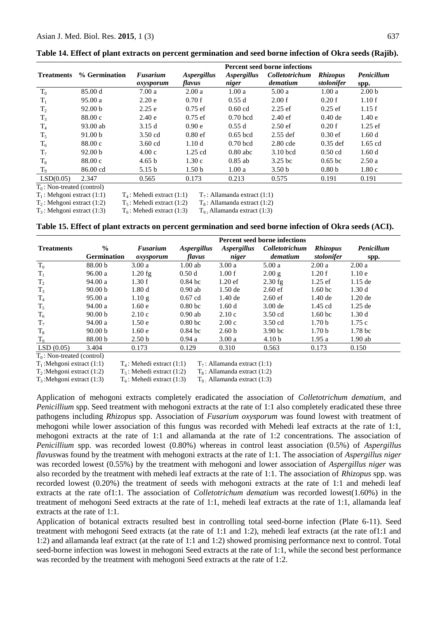|                           |                             | <b>Percent seed borne infections</b> |                    |                    |                    |                   |                   |  |
|---------------------------|-----------------------------|--------------------------------------|--------------------|--------------------|--------------------|-------------------|-------------------|--|
| <b>Treatments</b>         | % Germination               | Fusarium                             | <i>Aspergillus</i> | <i>Aspergillus</i> | Colletotrichum     | <i>Rhizopus</i>   | Penicillum        |  |
|                           |                             | oxysporum                            | flavus             | niger              | dematium           | stolonifer        | spp.              |  |
| $T_0$                     | 85.00 d                     | 7.00a                                | 2.00a              | 1.00a              | 5.00a              | 1.00a             | 2.00 <sub>b</sub> |  |
| $T_1$                     | 95.00a                      | 2.20e                                | 0.70f              | 0.55d              | 2.00 f             | 0.20 f            | 1.10f             |  |
| T <sub>2</sub>            | 92.00 <sub>b</sub>          | 2.25e                                | $0.75$ ef          | $0.60$ cd          | $2.25$ ef          | $0.25$ ef         | 1.15f             |  |
| $T_3$                     | 88.00c                      | 2.40e                                | $0.75$ ef          | $0.70$ bcd         | $2.40 \text{ ef}$  | $0.40$ de         | 1.40e             |  |
| $T_4$                     | 93.00 ab                    | 3.15d                                | 0.90e              | 0.55d              | $2.50$ ef          | 0.20 f            | $1.25$ ef         |  |
| $T_5$                     | 91.00 b                     | $3.50$ cd                            | $0.80$ ef          | $0.65$ bcd         | $2.55$ def         | $0.30$ ef         | 1.60d             |  |
| $T_6$                     | 88.00c                      | $3.60$ cd                            | 1.10 <sub>d</sub>  | $0.70$ bcd         | $2.80$ cde         | $0.35$ def        | $1.65$ cd         |  |
| $T_7$                     | 92.00 <sub>b</sub>          | 4.00c                                | $1.25$ cd          | $0.80$ abc         | $3.10$ bcd         | $0.50$ cd         | 1.60d             |  |
| $T_8$                     | 88.00c                      | 4.65 <sub>b</sub>                    | 1.30c              | $0.85$ ab          | 3.25 <sub>bc</sub> | $0.65$ bc         | 2.50a             |  |
| $T_9$                     | 86.00 cd                    | 5.15 <sub>b</sub>                    | 1.50 <sub>b</sub>  | 1.00a              | 3.50 <sub>b</sub>  | 0.80 <sub>b</sub> | 1.80c             |  |
| LSD(0.05)                 | 2.347                       | 0.565                                | 0.173              | 0.213              | 0.575              | 0.191             | 0.191             |  |
| $\mathbf{m}$ $\mathbf{r}$ | $\sim$ $\sim$ $\sim$ $\sim$ |                                      |                    |                    |                    |                   |                   |  |

**Table 14. Effect of plant extracts on percent germination and seed borne infection of Okra seeds (Rajib).**

 $T_0$ : Non-treated (control)

 $T_1$ : Mehgoni extract (1:1)  $T_4$ : Mehedi extract (1:1)  $T_7$ : Allamanda extract (1:1)

 $T_2$ : Mehgoni extract (1:2)  $T_5$ : Mehedi extract (1:2)  $T_8$ : Allamanda extract (1:2)

 $T_3$ : Mehgoni extract (1:3)  $T_6$ : Mehedi extract (1:3)  $T_9$ **: Allamanda extract (1:3)** 

**Table 15. Effect of plant extracts on percent germination and seed borne infection of Okra seeds (ACI).**

|                   |                    | <b>Percent seed borne infections</b> |                    |                           |                    |                    |                    |
|-------------------|--------------------|--------------------------------------|--------------------|---------------------------|--------------------|--------------------|--------------------|
| <b>Treatments</b> | $\frac{6}{6}$      | Fusarium                             | <i>Aspergillus</i> | <i><b>Aspergillus</b></i> | Colletotrichum     | <i>Rhizopus</i>    | Penicillum         |
|                   | <b>Germination</b> | oxysporum                            | flavus             | niger                     | dematium           | stolonifer         | spp.               |
| $T_0$             | 88.00 b            | 3.00a                                | $1.00$ ab          | 3.00a                     | 5.00a              | 2.00a              | 2.00a              |
| $T_1$             | 96.00a             | $1.20$ fg                            | 0.50d              | 1.00 f                    | 2.00 g             | 1.20 f             | 1.10e              |
| T <sub>2</sub>    | 94.00a             | 1.30 f                               | $0.84$ bc          | $1.20$ ef                 | $2.30$ fg          | $1.25$ ef          | $1.15$ de          |
| $T_3$             | 90.00 <sub>b</sub> | 1.80d                                | $0.90$ ab          | $1.50$ de                 | $2.60$ ef          | 1.60 <sub>bc</sub> | 1.30d              |
| $T_4$             | 95.00a             | 1.10g                                | $0.67$ cd          | $1.40$ de                 | $2.60$ ef          | $1.40$ de          | $1.20$ de          |
| $T_5$             | 94.00 a            | 1.60e                                | 0.80 <sub>bc</sub> | 1.60d                     | $3.00$ de          | $1.45$ cd          | $1.25$ de          |
| $T_6$             | 90.00 <sub>b</sub> | 2.10c                                | $0.90$ ab          | 2.10c                     | $3.50$ cd          | 1.60 <sub>bc</sub> | 1.30d              |
| $T_7$             | 94.00a             | 1.50e                                | 0.80 <sub>bc</sub> | 2.00c                     | $3.50$ cd          | 1.70 <sub>b</sub>  | 1.75c              |
| $T_8$             | 90.00 <sub>b</sub> | 1.60e                                | $0.84$ bc          | 2.60 <sub>b</sub>         | 3.90 <sub>bc</sub> | 1.70 <sub>b</sub>  | 1.78 <sub>bc</sub> |
| T <sub>9</sub>    | 88.00 <sub>b</sub> | 2.50 <sub>b</sub>                    | 0.94a              | 3.00a                     | 4.10 <sub>b</sub>  | 1.95a              | $1.90$ ab          |
| LSD(0.05)         | 3.404              | 0.173                                | 0.129              | 0.310                     | 0.563              | 0.173              | 0.150              |

 $T_0$ : Non-treated (control)

Application of mehogoni extracts completely eradicated the association of *Colletotrichum dematium,* and *Penicillium* spp. Seed treatment with mehogoni extracts at the rate of 1:1 also completely eradicated these three pathogens including *Rhizopus* spp. Association of *Fusarium oxysporum* was found lowest with treatment of mehogoni while lower association of this fungus was recorded with Mehedi leaf extracts at the rate of 1:1, mehogoni extracts at the rate of 1:1 and allamanda at the rate of 1:2 concentrations. The association of *Penicillium* spp. was recorded lowest (0.80%) whereas in control least association (0.5%) of *Aspergillus flavus*was found by the treatment with mehogoni extracts at the rate of 1:1. The association of *Aspergillus niger*  was recorded lowest (0.55%) by the treatment with mehogoni and lower association of *Aspergillus niger* was also recorded by the treatment with mehedi leaf extracts at the rate of 1:1. The association of *Rhizopus* spp. was recorded lowest (0.20%) the treatment of seeds with mehogoni extracts at the rate of 1:1 and mehedi leaf extracts at the rate of1:1. The association of *Colletotrichum dematium* was recorded lowest(1.60%) in the treatment of mehogoni Seed extracts at the rate of 1:1, mehedi leaf extracts at the rate of 1:1, allamanda leaf extracts at the rate of 1:1.

Application of botanical extracts resulted best in controlling total seed-borne infection (Plate 6-11). Seed treatment with mehogoni Seed extracts (at the rate of 1:1 and 1:2), mehedi leaf extracts (at the rate of1:1 and 1:2) and allamanda leaf extract (at the rate of 1:1 and 1:2) showed promising performance next to control. Total seed-borne infection was lowest in mehogoni Seed extracts at the rate of 1:1, while the second best performance was recorded by the treatment with mehogoni Seed extracts at the rate of 1:2.

 $T_1$ :Mehgoni extract (1:1)  $T_4$ : Mehedi extract (1:1)  $T_7$ : Allamanda extract (1:1)<br> $T_8$ : Mehgoni extract (1:2)  $T_5$ : Mehedi extract (1:2)  $T_8$ : Allamanda extract (1:2)

 $T_2$ :Mehgoni extract (1:2)  $T_5$ : Mehedi extract (1:2)  $T_8$ : Allamanda extract (1:2)

 $T_3$ :Mehgoni extract (1:3)  $T_6$ : Mehedi extract (1:3)  $T_9$ : Allamanda extract (1:3)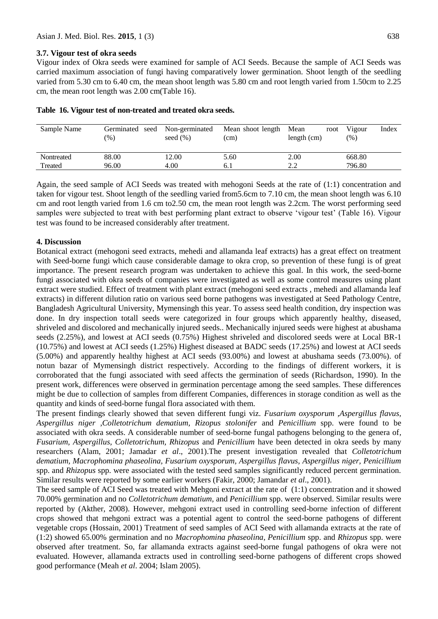### **3.7. Vigour test of okra seeds**

Vigour index of Okra seeds were examined for sample of ACI Seeds. Because the sample of ACI Seeds was carried maximum association of fungi having comparatively lower germination. Shoot length of the seedling varied from 5.30 cm to 6.40 cm, the mean shoot length was 5.80 cm and root length varied from 1.50cm to 2.25 cm, the mean root length was 2.00 cm(Table 16).

| Sample Name | Germinated seed<br>$(\%)$ | Non-germinated<br>seed $(\% )$ | Mean shoot length<br>(cm) | Mean<br>root<br>length $(cm)$ | Vigour<br>Index<br>(%) |
|-------------|---------------------------|--------------------------------|---------------------------|-------------------------------|------------------------|
| Nontreated  | 88.00                     | 12.00                          | 5.60                      | 2.00                          | 668.80                 |
| Treated     | 96.00                     | 4.00                           | 0. I                      | 2.2                           | 796.80                 |

Again, the seed sample of ACI Seeds was treated with mehogoni Seeds at the rate of (1:1) concentration and taken for vigour test. Shoot length of the seedling varied from5.6cm to 7.10 cm, the mean shoot length was 6.10 cm and root length varied from 1.6 cm to2.50 cm, the mean root length was 2.2cm. The worst performing seed samples were subjected to treat with best performing plant extract to observe "vigour test" (Table 16). Vigour test was found to be increased considerably after treatment.

### **4. Discussion**

Botanical extract (mehogoni seed extracts, mehedi and allamanda leaf extracts) has a great effect on treatment with Seed-borne fungi which cause considerable damage to okra crop, so prevention of these fungi is of great importance. The present research program was undertaken to achieve this goal. In this work, the seed-borne fungi associated with okra seeds of companies were investigated as well as some control measures using plant extract were studied. Effect of treatment with plant extract (mehogoni seed extracts , mehedi and allamanda leaf extracts) in different dilution ratio on various seed borne pathogens was investigated at Seed Pathology Centre, Bangladesh Agricultural University, Mymensingh this year. To assess seed health condition, dry inspection was done. In dry inspection totall seeds were categorized in four groups which apparently healthy, diseased, shriveled and discolored and mechanically injured seeds.. Mechanically injured seeds were highest at abushama seeds (2.25%), and lowest at ACI seeds (0.75%) Highest shriveled and discolored seeds were at Local BR-1 (10.75%) and lowest at ACI seeds (1.25%) Highest diseased at BADC seeds (17.25%) and lowest at ACI seeds (5.00%) and apparently healthy highest at ACI seeds (93.00%) and lowest at abushama seeds (73.00%). of notun bazar of Mymensingh district respectively. According to the findings of different workers, it is corroborated that the fungi associated with seed affects the germination of seeds (Richardson, 1990). In the present work, differences were observed in germination percentage among the seed samples. These differences might be due to collection of samples from different Companies, differences in storage condition as well as the quantity and kinds of seed-borne fungal flora associated with them.

The present findings clearly showed that seven different fungi viz. *Fusarium oxysporum ,Aspergillus flavus, Aspergillus niger ,Colletotrichum dematium, Rizopus stolonifer* and *Penicillium* spp. were found to be associated with okra seeds. A considerable number of seed-borne fungal pathogens belonging to the genera of*, Fusarium, Aspergillus, Colletotrichum, Rhizopus* and *Penicillium* have been detected in okra seeds by many researchers (Alam, 2001; Jamadar *et al*., 2001).The present investigation revealed that *Colletotrichum dematium, Macrophomina phaseolina, Fusarium oxysporum, Aspergillus flavus, Aspergillus niger, Penicillium*  spp. and *Rhizopus* spp. were associated with the tested seed samples significantly reduced percent germination. Similar results were reported by some earlier workers (Fakir, 2000; Jamandar *et al*., 2001).

The seed sample of ACI Seed was treated with Mehgoni extract at the rate of (1:1) concentration and it showed 70.00% germination and no *Colletotrichum dematium,* and *Penicillium* spp. were observed. Similar results were reported by (Akther, 2008). However, mehgoni extract used in controlling seed-borne infection of different crops showed that mehgoni extract was a potential agent to control the seed-borne pathogens of different vegetable crops (Hossain, 2001) Treatment of seed samples of ACI Seed with allamanda extracts at the rate of (1:2) showed 65.00% germination and no *Macrophomina phaseolina, Penicillium* spp. and *Rhizopus* spp. were observed after treatment. So, far allamanda extracts against seed-borne fungal pathogens of okra were not evaluated. However, allamanda extracts used in controlling seed-borne pathogens of different crops showed good performance (Meah *et al*. 2004; Islam 2005).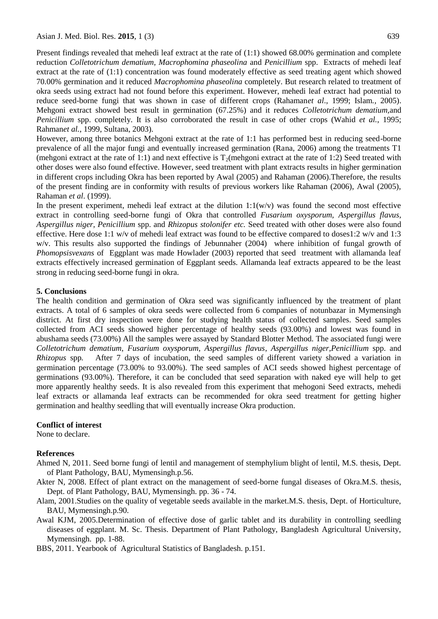Present findings revealed that mehedi leaf extract at the rate of (1:1) showed 68.00% germination and complete reduction *Colletotrichum dematium, Macrophomina phaseolina* and *Penicillium* spp. Extracts of mehedi leaf extract at the rate of (1:1) concentration was found moderately effective as seed treating agent which showed 70.00% germination and it reduced *Macrophomina phaseolina* completely. But research related to treatment of okra seeds using extract had not found before this experiment. However, mehedi leaf extract had potential to reduce seed-borne fungi that was shown in case of different crops (Rahaman*et al*., 1999; Islam*.,* 2005). Mehgoni extract showed best result in germination (67.25%) and it reduces *Colletotrichum dematium,*and *Penicillium* spp. completely. It is also corroborated the result in case of other crops (Wahid *et al.*, 1995; Rahman*et al.*, 1999, Sultana, 2003).

However, among three botanics Mehgoni extract at the rate of 1:1 has performed best in reducing seed-borne prevalence of all the major fungi and eventually increased germination (Rana, 2006) among the treatments T1 (mehgoni extract at the rate of 1:1) and next effective is  $T_2$ (mehgoni extract at the rate of 1:2) Seed treated with other doses were also found effective. However, seed treatment with plant extracts results in higher germination in different crops including Okra has been reported by Awal (2005) and Rahaman (2006).Therefore, the results of the present finding are in conformity with results of previous workers like Rahaman (2006), Awal (2005), Rahaman *et al*. (1999).

In the present experiment, mehedi leaf extract at the dilution  $1:1(w/v)$  was found the second most effective extract in controlling seed-borne fungi of Okra that controlled *Fusarium oxysporum, Aspergillus flavus, Aspergillus niger, Penicillium* spp. and *Rhizopus stolonifer etc.* Seed treated with other doses were also found effective. Here dose 1:1 w/v of mehedi leaf extract was found to be effective compared to doses1:2 w/v and 1:3 w/v. This results also supported the findings of Jebunnaher (2004) where inhibition of fungal growth of *Phomopsisvexans* of Eggplant was made Howlader (2003) reported that seed treatment with allamanda leaf extracts effectively increased germination of Eggplant seeds. Allamanda leaf extracts appeared to be the least strong in reducing seed-borne fungi in okra.

### **5. Conclusions**

The health condition and germination of Okra seed was significantly influenced by the treatment of plant extracts. A total of 6 samples of okra seeds were collected from 6 companies of notunbazar in Mymensingh district. At first dry inspection were done for studying health status of collected samples. Seed samples collected from ACI seeds showed higher percentage of healthy seeds (93.00%) and lowest was found in abushama seeds (73.00%) All the samples were assayed by Standard Blotter Method. The associated fungi were *Colletotrichum dematium*, *Fusarium oxysporum, Aspergillus flavus*, *Aspergillus niger,Penicillium* spp. and *Rhizopus* spp*.* After 7 days of incubation, the seed samples of different variety showed a variation in germination percentage (73.00% to 93.00%). The seed samples of ACI seeds showed highest percentage of germinations (93.00%). Therefore, it can be concluded that seed separation with naked eye will help to get more apparently healthy seeds. It is also revealed from this experiment that mehogoni Seed extracts, mehedi leaf extracts or allamanda leaf extracts can be recommended for okra seed treatment for getting higher germination and healthy seedling that will eventually increase Okra production.

#### **Conflict of interest**

None to declare.

### **References**

- Ahmed N, 2011. Seed borne fungi of lentil and management of stemphylium blight of lentil, M.S. thesis, Dept. of Plant Pathology, BAU, Mymensingh.p.56.
- Akter N, 2008. Effect of plant extract on the management of seed-borne fungal diseases of Okra.M.S. thesis, Dept. of Plant Pathology, BAU, Mymensingh. pp. 36 - 74.
- Alam, 2001.Studies on the quality of vegetable seeds available in the market.M.S. thesis, Dept. of Horticulture, BAU, Mymensingh.p.90.
- Awal KJM, 2005.Determination of effective dose of garlic tablet and its durability in controlling seedling diseases of eggplant. M. Sc. Thesis. Department of Plant Pathology, Bangladesh Agricultural University, Mymensingh. pp. 1-88.
- BBS, 2011. Yearbook of Agricultural Statistics of Bangladesh. p.151.